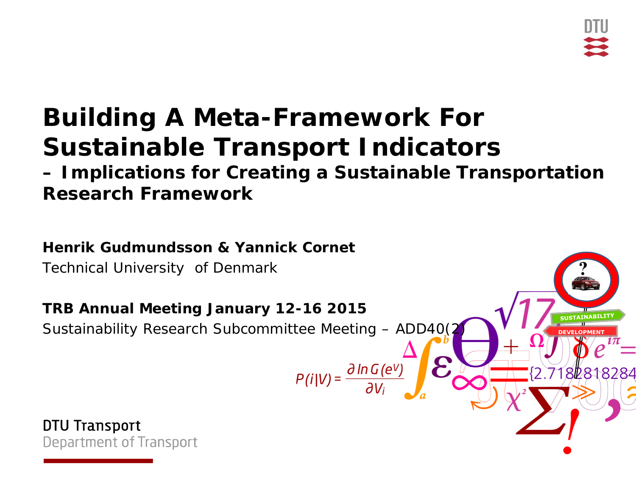# **Building A Meta-Framework For Sustainable Transport Indicators**

**– Implications for Creating a Sustainable Transportation Research Framework**

#### **Henrik Gudmundsson & Yannick Cornet**

Technical University of Denmark

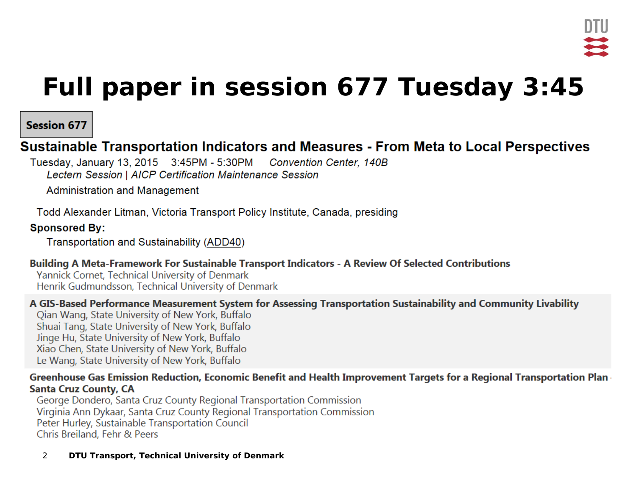## **Full paper in session 677 Tuesday 3:45**

#### **Session 677**

#### Sustainable Transportation Indicators and Measures - From Meta to Local Perspectives

Tuesday, January 13, 2015 3:45PM - 5:30PM Convention Center, 140B Lectern Session | AICP Certification Maintenance Session

Administration and Management

Todd Alexander Litman, Victoria Transport Policy Institute, Canada, presiding

#### **Sponsored By:**

Transportation and Sustainability (ADD40)

#### Building A Meta-Framework For Sustainable Transport Indicators - A Review Of Selected Contributions

Yannick Cornet, Technical University of Denmark Henrik Gudmundsson, Technical University of Denmark

#### A GIS-Based Performance Measurement System for Assessing Transportation Sustainability and Community Livability

Qian Wang, State University of New York, Buffalo Shuai Tang, State University of New York, Buffalo Jinge Hu, State University of New York, Buffalo Xiao Chen, State University of New York, Buffalo Le Wang, State University of New York, Buffalo

#### Greenhouse Gas Emission Reduction, Economic Benefit and Health Improvement Targets for a Regional Transportation Plan **Santa Cruz County, CA**

George Dondero, Santa Cruz County Regional Transportation Commission Virginia Ann Dykaar, Santa Cruz County Regional Transportation Commission Peter Hurley, Sustainable Transportation Council Chris Breiland, Fehr & Peers

2 **DTU Transport, Technical University of Denmark**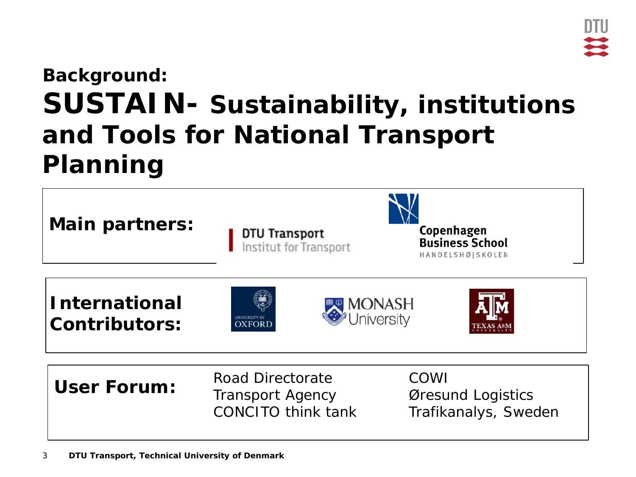### **Background: SUSTAIN- Sustainability, institutions and Tools for National Transport Planning**

| <b>Main partners:</b>                        | <b>DTU Transport</b><br>Institut for Transport                           | Copenhagen<br><b>Business School</b><br>HANDELSHØJSKOLEN |
|----------------------------------------------|--------------------------------------------------------------------------|----------------------------------------------------------|
| <b>International</b><br><b>Contributors:</b> | <b>MONASH</b><br>®University<br><b>VERSITY O</b><br><b>DXFORT</b>        |                                                          |
| <b>User Forum:</b>                           | Road Directorate<br><b>Transport Agency</b><br><b>CONCITO think tank</b> | COWI<br>Øresund Logistics<br>Trafikanalys, Sweden        |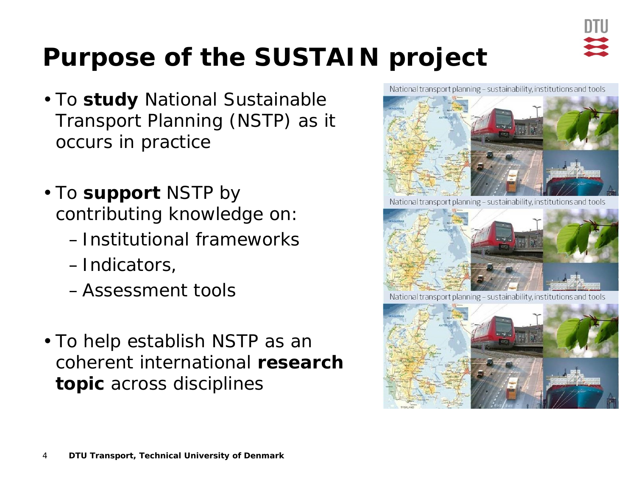

# **Purpose of the SUSTAIN project**

- To **study** National Sustainable Transport Planning (NSTP) as it occurs in practice
- To **support** NSTP by contributing knowledge on:
	- –Institutional frameworks
	- –Indicators,
	- –Assessment tools
- To help establish NSTP as an coherent international **research topic** across disciplines

National transport planning - sustainability, institutions and tools



National transport planning - sustainability, institutions and tools



National transport planning - sustainability, institutions and tools

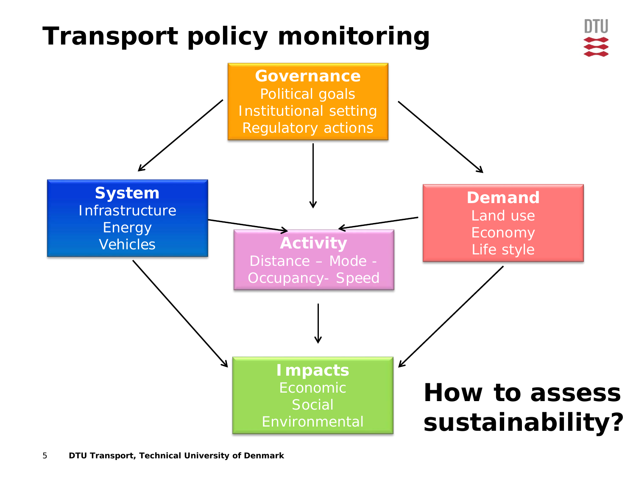# **Transport policy monitoring**



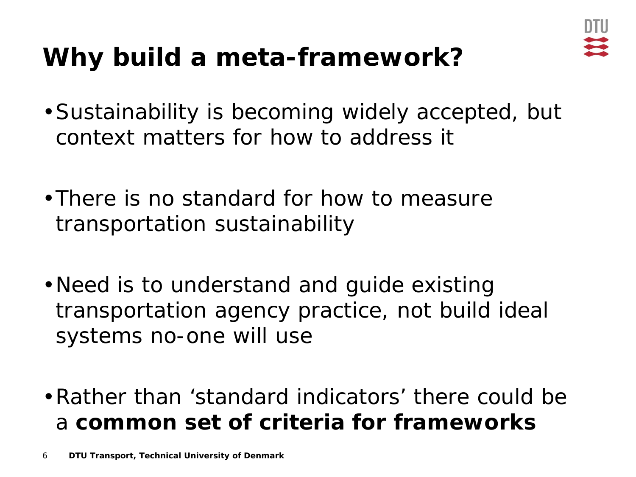

# **Why build a meta-framework?**

- •Sustainability is becoming widely accepted, but context matters for how to address it
- •There is no standard for how to measure transportation sustainability
- •Need is to understand and guide existing transportation agency practice, not build ideal systems no-one will use
- •Rather than 'standard indicators' there could be a **common set of criteria for frameworks**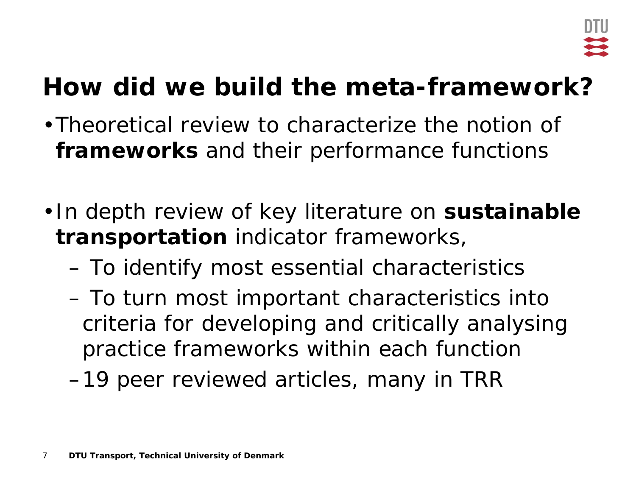# **How did we build the meta-framework?**

- •Theoretical review to characterize the notion of **frameworks** and their performance functions
- •In depth review of key literature on **sustainable transportation** indicator frameworks,
	- To identify most essential characteristics
	- To turn most important characteristics into criteria for developing and critically analysing practice frameworks within each function
	- –19 peer reviewed articles, many in TRR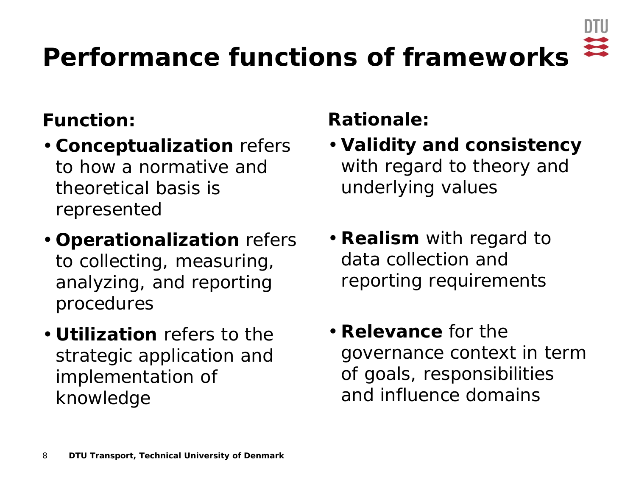

# **Performance functions of frameworks**

#### **Function:**

- *Conceptualization* refers to how a normative and theoretical basis is represented
- *Operationalization* refers to collecting, measuring, analyzing, and reporting procedures
- *Utilization* refers to the strategic application and implementation of knowledge

#### **Rationale:**

- *Validity and consistency*  with regard to theory and underlying values
- *Realism* with regard to data collection and reporting requirements
- *Relevance* for the governance context in term of goals, responsibilities and influence domains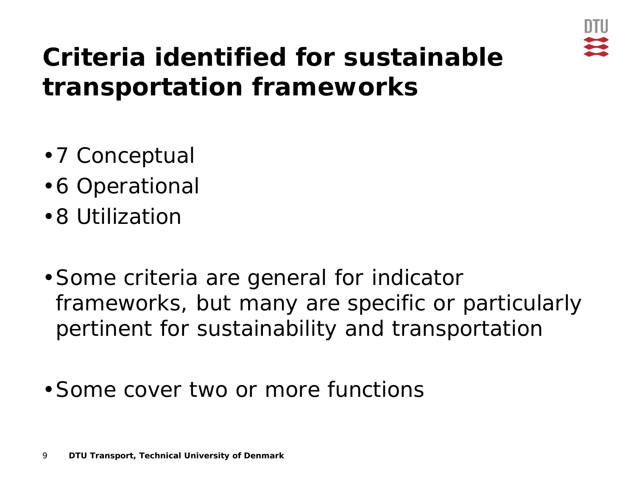

## **Criteria identified for sustainable transportation frameworks**

- •7 Conceptual
- •6 Operational
- •8 Utilization
- •Some criteria are general for indicator frameworks, but many are specific or particularly pertinent for sustainability and transportation
- •Some cover two or more functions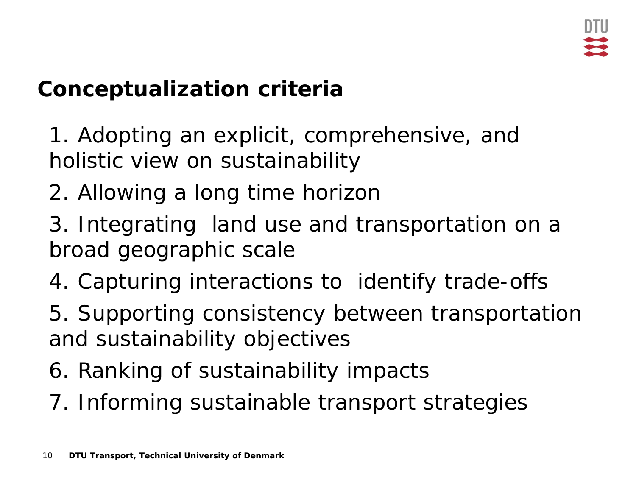### **Conceptualization criteria**

- 1. Adopting an explicit, comprehensive, and holistic view on sustainability
- 2. Allowing a long time horizon
- 3. Integrating land use and transportation on a broad geographic scale
- 4. Capturing interactions to identify trade-offs
- 5. Supporting consistency between transportation and sustainability objectives
- 6. Ranking of sustainability impacts
- 7. Informing sustainable transport strategies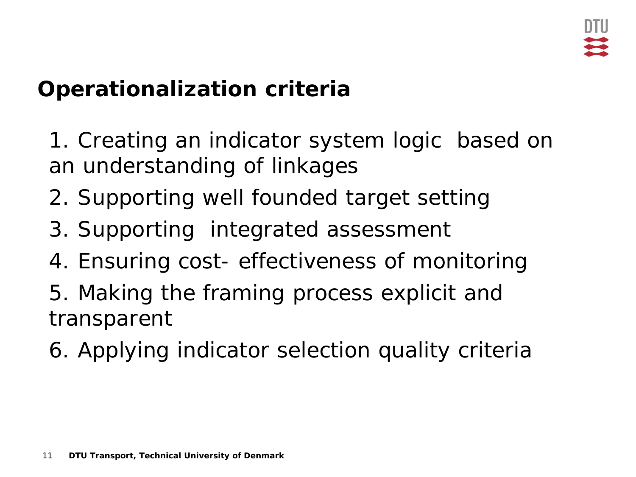#### **Operationalization criteria**

1. Creating an indicator system logic based on an understanding of linkages

- 2. Supporting well founded target setting
- 3. Supporting integrated assessment
- 4. Ensuring cost- effectiveness of monitoring
- 5. Making the framing process explicit and transparent
- 6. Applying indicator selection quality criteria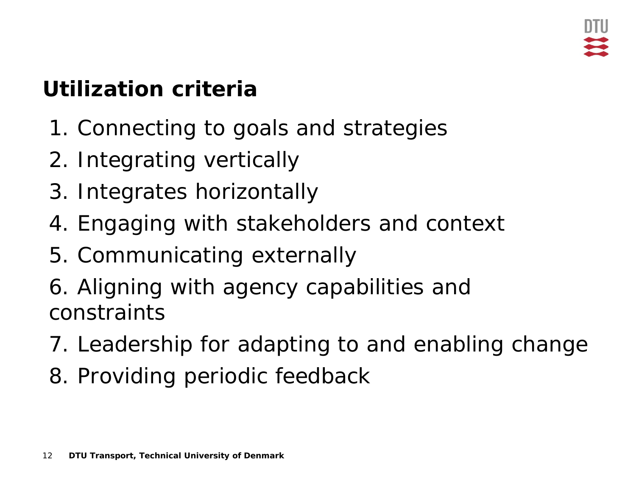### **Utilization criteria**

- 1. Connecting to goals and strategies
- 2. Integrating vertically
- 3. Integrates horizontally
- 4. Engaging with stakeholders and context
- 5. Communicating externally
- 6. Aligning with agency capabilities and constraints
- 7. Leadership for adapting to and enabling change
- 8. Providing periodic feedback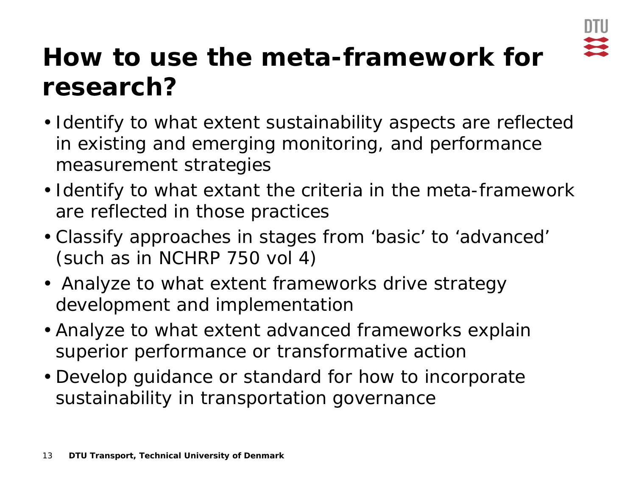

## **How to use the meta-framework for research?**

- Identify to what extent sustainability aspects are reflected in existing and emerging monitoring, and performance measurement strategies
- Identify to what extant the criteria in the meta-framework are reflected in those practices
- Classify approaches in stages from 'basic' to 'advanced' (such as in NCHRP 750 vol 4)
- Analyze to what extent frameworks drive strategy development and implementation
- Analyze to what extent advanced frameworks explain superior performance or transformative action
- Develop guidance or standard for how to incorporate sustainability in transportation governance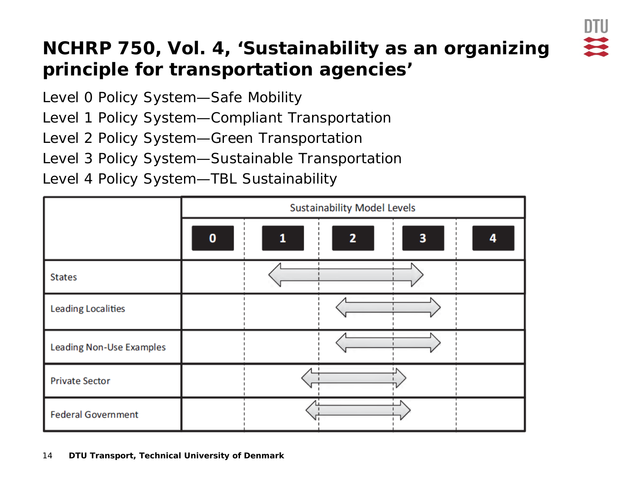

#### **NCHRP 750, Vol. 4, 'Sustainability as an organizing principle for transportation agencies'**

Level 0 Policy System—Safe Mobility

Level 1 Policy System—Compliant Transportation

Level 2 Policy System—Green Transportation

Level 3 Policy System—Sustainable Transportation

Level 4 Policy System—TBL Sustainability

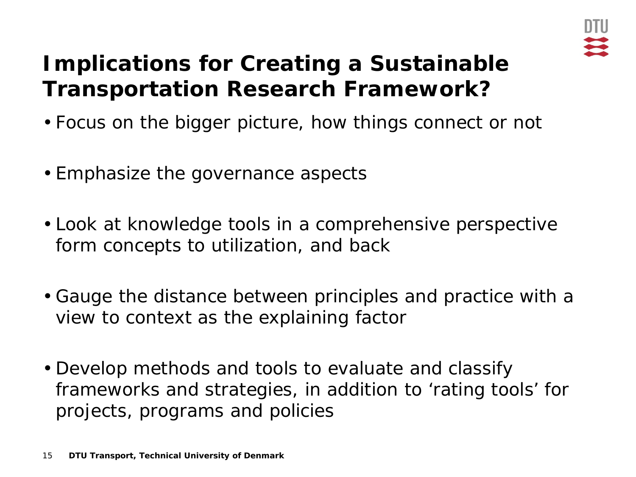

### **Implications for Creating a Sustainable Transportation Research Framework?**

- Focus on the bigger picture, how things connect or not
- Emphasize the governance aspects
- Look at knowledge tools in a comprehensive perspective form concepts to utilization, and back
- Gauge the distance between principles and practice with a view to context as the explaining factor
- Develop methods and tools to evaluate and classify frameworks and strategies, in addition to 'rating tools' for projects, programs and policies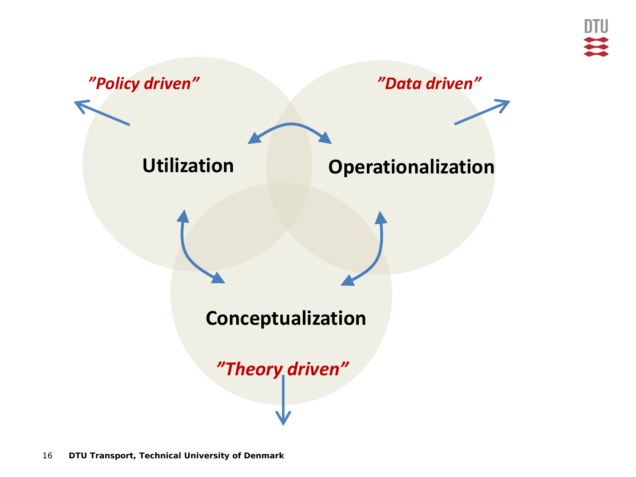